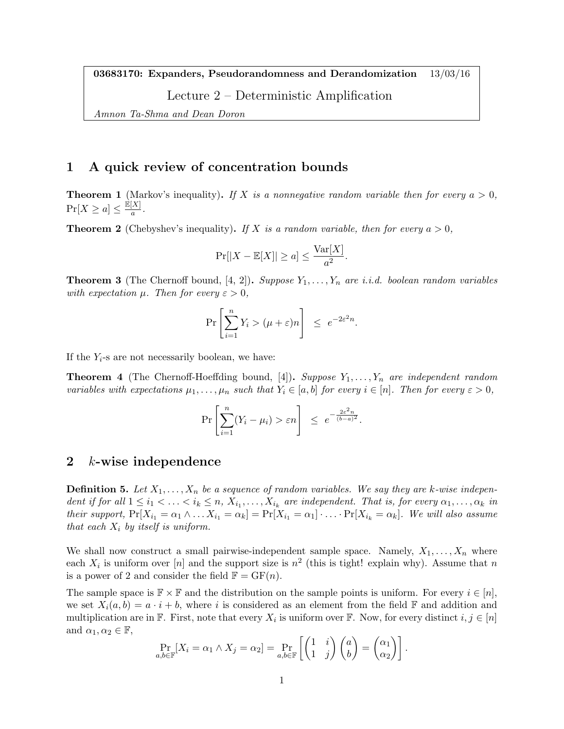03683170: Expanders, Pseudorandomness and Derandomization 13/03/16

Lecture 2 – Deterministic Amplification

Amnon Ta-Shma and Dean Doron

# 1 A quick review of concentration bounds

**Theorem 1** (Markov's inequality). If X is a nonnegative random variable then for every  $a > 0$ ,  $\Pr[X \ge a] \le \frac{\mathbb{E}[X]}{a}$  $\frac{A}{a}$ .

**Theorem 2** (Chebyshev's inequality). If X is a random variable, then for every  $a > 0$ ,

$$
\Pr[|X - \mathbb{E}[X]| \ge a] \le \frac{\text{Var}[X]}{a^2}.
$$

**Theorem 3** (The Chernoff bound, [4, 2]). Suppose  $Y_1, \ldots, Y_n$  are i.i.d. boolean random variables with expectation  $\mu$ . Then for every  $\varepsilon > 0$ ,

$$
\Pr\left[\sum_{i=1}^n Y_i > (\mu + \varepsilon)n\right] \le e^{-2\varepsilon^2 n}.
$$

If the  $Y_i$ -s are not necessarily boolean, we have:

**Theorem 4** (The Chernoff-Hoeffding bound, [4]). Suppose  $Y_1, \ldots, Y_n$  are independent random variables with expectations  $\mu_1, \ldots, \mu_n$  such that  $Y_i \in [a, b]$  for every  $i \in [n]$ . Then for every  $\varepsilon > 0$ ,

$$
\Pr\left[\sum_{i=1}^n (Y_i - \mu_i) > \varepsilon n\right] \leq e^{-\frac{2\varepsilon^2 n}{(b-a)^2}}.
$$

### 2 k-wise independence

**Definition 5.** Let  $X_1, \ldots, X_n$  be a sequence of random variables. We say they are k-wise independent if for all  $1 \leq i_1 < \ldots < i_k \leq n$ ,  $X_{i_1}, \ldots, X_{i_k}$  are independent. That is, for every  $\alpha_1, \ldots, \alpha_k$  in their support,  $Pr[X_{i_1} = \alpha_1 \wedge \ldots X_{i_1} = \alpha_k] = Pr[X_{i_1} = \alpha_1] \cdot \ldots \cdot Pr[X_{i_k} = \alpha_k]$ . We will also assume that each  $X_i$  by itself is uniform.

We shall now construct a small pairwise-independent sample space. Namely,  $X_1, \ldots, X_n$  where each  $X_i$  is uniform over [n] and the support size is  $n^2$  (this is tight! explain why). Assume that n is a power of 2 and consider the field  $\mathbb{F} = \mathrm{GF}(n)$ .

The sample space is  $\mathbb{F} \times \mathbb{F}$  and the distribution on the sample points is uniform. For every  $i \in [n]$ , we set  $X_i(a, b) = a \cdot i + b$ , where i is considered as an element from the field F and addition and multiplication are in  $\mathbb{F}$ . First, note that every  $X_i$  is uniform over  $\mathbb{F}$ . Now, for every distinct  $i, j \in [n]$ and  $\alpha_1, \alpha_2 \in \mathbb{F}$ ,

$$
\Pr_{a,b\in\mathbb{F}}[X_i = \alpha_1 \wedge X_j = \alpha_2] = \Pr_{a,b\in\mathbb{F}}\left[\begin{pmatrix} 1 & i \\ 1 & j \end{pmatrix} \begin{pmatrix} a \\ b \end{pmatrix} = \begin{pmatrix} \alpha_1 \\ \alpha_2 \end{pmatrix}\right].
$$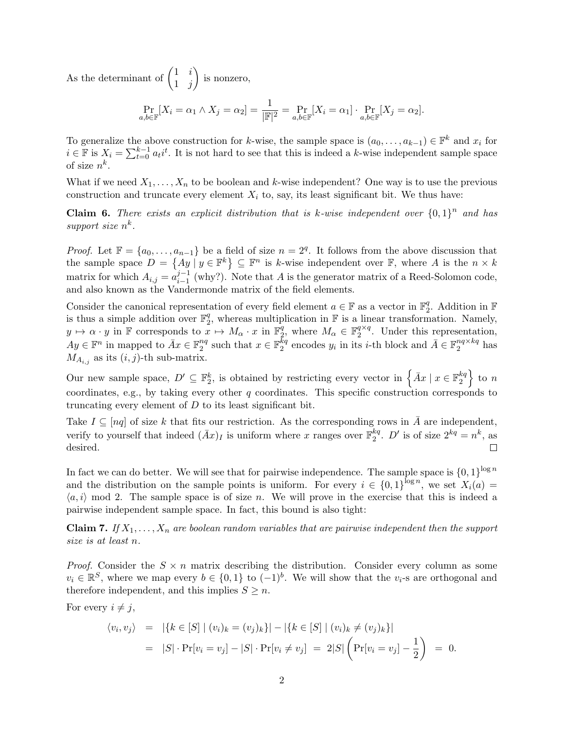As the determinant of  $\begin{pmatrix} 1 & i \\ 1 & i \end{pmatrix}$  $1 \quad j$ is nonzero,

$$
\Pr_{a,b\in\mathbb{F}}[X_i = \alpha_1 \wedge X_j = \alpha_2] = \frac{1}{|\mathbb{F}|^2} = \Pr_{a,b\in\mathbb{F}}[X_i = \alpha_1] \cdot \Pr_{a,b\in\mathbb{F}}[X_j = \alpha_2].
$$

To generalize the above construction for k-wise, the sample space is  $(a_0, \ldots, a_{k-1}) \in \mathbb{F}^k$  and  $x_i$  for  $i \in \mathbb{F}$  is  $X_i = \sum_{t=0}^{k-1} a_t i^t$ . It is not hard to see that this is indeed a k-wise independent sample space of size  $n^k$ .

What if we need  $X_1, \ldots, X_n$  to be boolean and k-wise independent? One way is to use the previous construction and truncate every element  $X_i$  to, say, its least significant bit. We thus have:

**Claim 6.** There exists an explicit distribution that is k-wise independent over  ${0,1}^n$  and has support size  $n^k$ .

*Proof.* Let  $\mathbb{F} = \{a_0, \ldots, a_{n-1}\}\$ be a field of size  $n = 2^q$ . It follows from the above discussion that the sample space  $D = \{Ay \mid y \in \mathbb{F}^k\} \subseteq \mathbb{F}^n$  is k-wise independent over  $\mathbb{F}$ , where A is the  $n \times k$ matrix for which  $A_{i,j} = a_{i-1}^{j-1}$  $i_{i-1}^{j-1}$  (why?). Note that A is the generator matrix of a Reed-Solomon code, and also known as the Vandermonde matrix of the field elements.

Consider the canonical representation of every field element  $a \in \mathbb{F}$  as a vector in  $\mathbb{F}_2^q$  $_2^q$ . Addition in  $\mathbb F$ is thus a simple addition over  $\mathbb{F}_2^q$  $_2^q$ , whereas multiplication in  $\mathbb F$  is a linear transformation. Namely,  $y \mapsto \alpha \cdot y$  in F corresponds to  $x \mapsto M_\alpha \cdot x$  in  $\mathbb{F}_2^q$  $q, q$ , where  $M_{\alpha} \in \mathbb{F}_2^{q \times q}$  $q^{\alpha}$ . Under this representation,  $Ay \in \mathbb{F}^n$  in mapped to  $\bar{A}x \in \mathbb{F}_2^{nq}$  $n_q$  such that  $x \in \mathbb{F}_2^{kq}$  $k_q$  encodes  $y_i$  in its *i*-th block and  $\bar{A} \in \mathbb{F}_2^{n_q \times k_q}$  $_2^{nq \times \kappa q}$  has  $M_{A_{i,j}}$  as its  $(i, j)$ -th sub-matrix.

Our new sample space,  $D' \subseteq \mathbb{F}_2^k$ , is obtained by restricting every vector in  $\{ \bar{A}x \mid x \in \mathbb{F}_2^{kq} \}$  $\left\{\begin{array}{c} kq \\ 2 \end{array}\right\}$  to n coordinates, e.g., by taking every other q coordinates. This specific construction corresponds to truncating every element of  $D$  to its least significant bit.

Take  $I \subseteq [nq]$  of size k that fits our restriction. As the corresponding rows in  $\overline{A}$  are independent, verify to yourself that indeed  $(\bar{A}x)$ <sub>I</sub> is uniform where x ranges over  $\mathbb{F}_2^{kq}$  $_2^{kq}$ . *D'* is of size  $2^{kq} = n^k$ , as desired.  $\Box$ 

In fact we can do better. We will see that for pairwise independence. The sample space is  $\{0,1\}^{\log n}$ and the distribution on the sample points is uniform. For every  $i \in \{0,1\}^{\log n}$ , we set  $X_i(a) =$  $\langle a, i \rangle$  mod 2. The sample space is of size n. We will prove in the exercise that this is indeed a pairwise independent sample space. In fact, this bound is also tight:

**Claim 7.** If  $X_1, \ldots, X_n$  are boolean random variables that are pairwise independent then the support size is at least n.

*Proof.* Consider the  $S \times n$  matrix describing the distribution. Consider every column as some  $v_i \in \mathbb{R}^S$ , where we map every  $b \in \{0,1\}$  to  $(-1)^b$ . We will show that the  $v_i$ -s are orthogonal and therefore independent, and this implies  $S \geq n$ .

For every  $i \neq j$ ,

$$
\langle v_i, v_j \rangle = |\{k \in [S] \mid (v_i)_k = (v_j)_k\}| - |\{k \in [S] \mid (v_i)_k \neq (v_j)_k\}|
$$
  
=  $|S| \cdot \Pr[v_i = v_j] - |S| \cdot \Pr[v_i \neq v_j] = 2|S| \left( \Pr[v_i = v_j] - \frac{1}{2} \right) = 0.$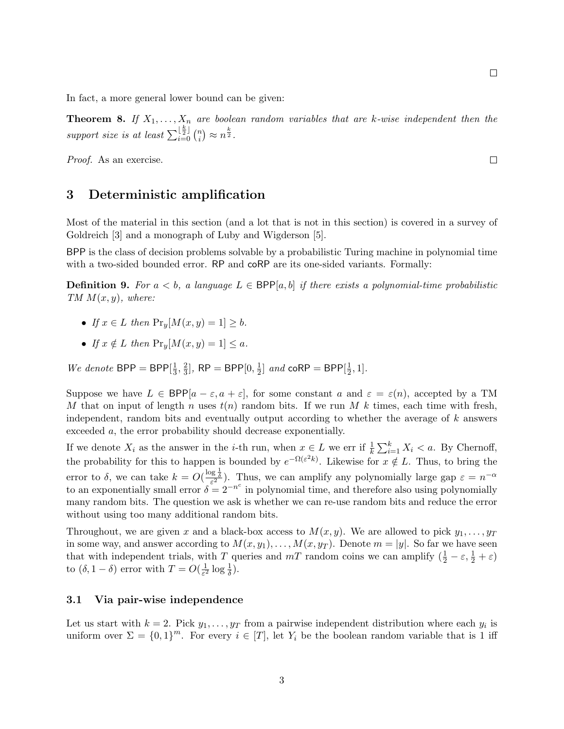In fact, a more general lower bound can be given:

**Theorem 8.** If  $X_1, \ldots, X_n$  are boolean random variables that are k-wise independent then the support size is at least  $\sum_{i=0}^{\lfloor \frac{k}{2} \rfloor} \binom{n}{i}$  $\binom{n}{i} \approx n^{\frac{k}{2}}$ .

Proof. As an exercise.

### 3 Deterministic amplification

Most of the material in this section (and a lot that is not in this section) is covered in a survey of Goldreich [3] and a monograph of Luby and Wigderson [5].

BPP is the class of decision problems solvable by a probabilistic Turing machine in polynomial time with a two-sided bounded error. RP and coRP are its one-sided variants. Formally:

**Definition 9.** For  $a < b$ , a language  $L \in BPP[a, b]$  if there exists a polynomial-time probabilistic  $TM M(x, y)$ , where:

- If  $x \in L$  then  $\Pr_u[M(x, y) = 1] \geq b$ .
- If  $x \notin L$  then  $\Pr_u[M(x, y) = 1] \leq a$ .

We denote  $BPP = BPP[\frac{1}{3}]$  $\frac{1}{3}, \frac{2}{3}$  $\frac{2}{3}$ ], RP = BPP $[0, \frac{1}{2}]$  $\frac{1}{2}$ ] and coRP = BPP[ $\frac{1}{2}$ ]  $\frac{1}{2}, 1].$ 

Suppose we have  $L \in BPP[a-\varepsilon, a+\varepsilon]$ , for some constant a and  $\varepsilon = \varepsilon(n)$ , accepted by a TM M that on input of length n uses  $t(n)$  random bits. If we run M k times, each time with fresh, independent, random bits and eventually output according to whether the average of k answers exceeded a, the error probability should decrease exponentially.

If we denote  $X_i$  as the answer in the *i*-th run, when  $x \in L$  we err if  $\frac{1}{k} \sum_{i=1}^k X_i < a$ . By Chernoff, the probability for this to happen is bounded by  $e^{-\Omega(\varepsilon^2 k)}$ . Likewise for  $x \notin L$ . Thus, to bring the error to  $\delta$ , we can take  $k = O(\frac{\log \frac{1}{\delta}}{\epsilon^2})$ . Thus, we can amplify any polynomially large gap  $\varepsilon = n^{-\alpha}$ to an exponentially small error  $\delta = 2^{-n^c}$  in polynomial time, and therefore also using polynomially many random bits. The question we ask is whether we can re-use random bits and reduce the error without using too many additional random bits.

Throughout, we are given x and a black-box access to  $M(x, y)$ . We are allowed to pick  $y_1, \ldots, y_T$ in some way, and answer according to  $M(x, y_1), \ldots, M(x, y_T)$ . Denote  $m = |y|$ . So far we have seen that with independent trials, with T queries and  $mT$  random coins we can amplify  $(\frac{1}{2} - \varepsilon, \frac{1}{2} + \varepsilon)$ to  $(\delta, 1-\delta)$  error with  $T = O(\frac{1}{\epsilon^2})$  $\frac{1}{\varepsilon^2} \log \frac{1}{\delta}$ ).

#### 3.1 Via pair-wise independence

Let us start with  $k = 2$ . Pick  $y_1, \ldots, y_T$  from a pairwise independent distribution where each  $y_i$  is uniform over  $\Sigma = \{0,1\}^m$ . For every  $i \in [T]$ , let  $Y_i$  be the boolean random variable that is 1 iff

 $\Box$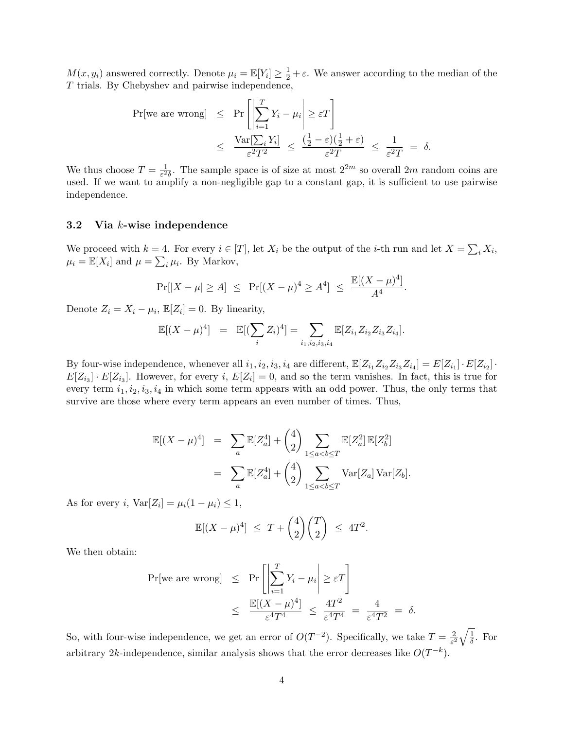$M(x, y_i)$  answered correctly. Denote  $\mu_i = \mathbb{E}[Y_i] \ge \frac{1}{2} + \varepsilon$ . We answer according to the median of the T trials. By Chebyshev and pairwise independence,

$$
\begin{array}{rcl}\n\Pr[\text{we are wrong}] & \leq & \Pr\left[\left|\sum_{i=1}^{T}Y_{i}-\mu_{i}\right|\geq\varepsilon T\right] \\
& \leq & \frac{\text{Var}[\sum_{i}Y_{i}]}{\varepsilon^{2}T^{2}} \leq & \frac{\left(\frac{1}{2}-\varepsilon\right)\left(\frac{1}{2}+\varepsilon\right)}{\varepsilon^{2}T} \leq & \frac{1}{\varepsilon^{2}T} = \delta.\n\end{array}
$$

We thus choose  $T = \frac{1}{c^2}$  $\frac{1}{\varepsilon^2 \delta}$ . The sample space is of size at most  $2^{2m}$  so overall  $2m$  random coins are used. If we want to amplify a non-negligible gap to a constant gap, it is sufficient to use pairwise independence.

#### 3.2 Via k-wise independence

We proceed with  $k = 4$ . For every  $i \in [T]$ , let  $X_i$  be the output of the *i*-th run and let  $X = \sum_i X_i$ ,  $\mu_i = \mathbb{E}[X_i]$  and  $\mu = \sum_i \mu_i$ . By Markov,

$$
\Pr[|X - \mu| \ge A] \le \Pr[(X - \mu)^4 \ge A^4] \le \frac{\mathbb{E}[(X - \mu)^4]}{A^4}.
$$

Denote  $Z_i = X_i - \mu_i$ ,  $\mathbb{E}[Z_i] = 0$ . By linearity,

$$
\mathbb{E}[(X-\mu)^4] = \mathbb{E}[(\sum_i Z_i)^4] = \sum_{i_1,i_2,i_3,i_4} \mathbb{E}[Z_{i_1}Z_{i_2}Z_{i_3}Z_{i_4}].
$$

By four-wise independence, whenever all  $i_1, i_2, i_3, i_4$  are different,  $\mathbb{E}[Z_{i_1}Z_{i_2}Z_{i_3}Z_{i_4}] = E[Z_{i_1}] \cdot E[Z_{i_2}] \cdot E[Z_{i_3}]$  $E[Z_{i_3}] \cdot E[Z_{i_3}]$ . However, for every i,  $E[Z_i] = 0$ , and so the term vanishes. In fact, this is true for every term  $i_1, i_2, i_3, i_4$  in which some term appears with an odd power. Thus, the only terms that survive are those where every term appears an even number of times. Thus,

$$
\mathbb{E}[(X-\mu)^4] = \sum_a \mathbb{E}[Z_a^4] + {4 \choose 2} \sum_{1 \le a < b \le T} \mathbb{E}[Z_a^2] \mathbb{E}[Z_b^2]
$$
  

$$
= \sum_a \mathbb{E}[Z_a^4] + {4 \choose 2} \sum_{1 \le a < b \le T} \text{Var}[Z_a] \text{Var}[Z_b].
$$

As for every i,  $\text{Var}[Z_i] = \mu_i(1 - \mu_i) \leq 1$ ,

$$
\mathbb{E}[(X-\mu)^4] \leq T + \binom{4}{2}\binom{T}{2} \leq 4T^2.
$$

We then obtain:

$$
\begin{array}{rcl}\n\Pr[\text{we are wrong}] & \leq & \Pr\left[\left|\sum_{i=1}^{T} Y_i - \mu_i\right| \geq \varepsilon T\right] \\
& \leq & \frac{\mathbb{E}[(X-\mu)^4]}{\varepsilon^4 T^4} \leq \frac{4T^2}{\varepsilon^4 T^4} = \frac{4}{\varepsilon^4 T^2} = \delta.\n\end{array}
$$

So, with four-wise independence, we get an error of  $O(T^{-2})$ . Specifically, we take  $T = \frac{2}{s^2}$  $rac{2}{\varepsilon^2}\sqrt{\frac{1}{\delta}}$  $\frac{1}{\delta}$ . For arbitrary 2k-independence, similar analysis shows that the error decreases like  $O(T^{-k})$ .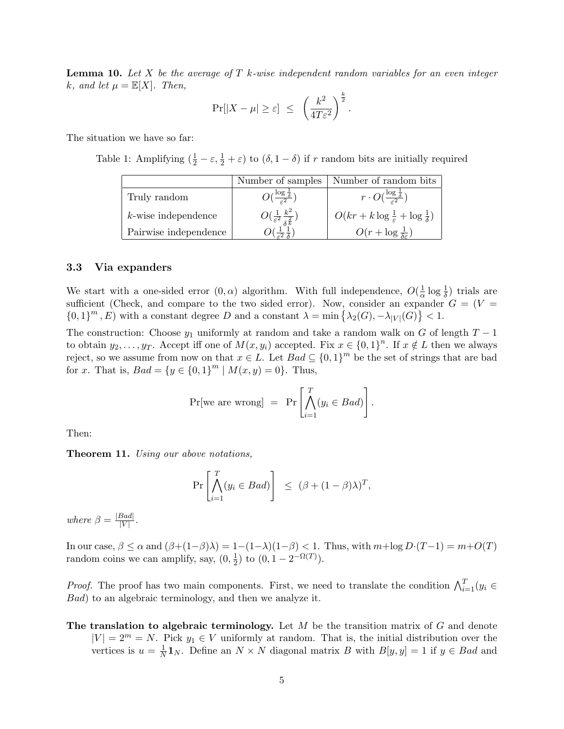**Lemma 10.** Let X be the average of T k-wise independent random variables for an even integer k, and let  $\mu = \mathbb{E}[X]$ . Then,

$$
\Pr[|X - \mu| \ge \varepsilon] \le \left(\frac{k^2}{4T\varepsilon^2}\right)^{\frac{k}{2}}.
$$

The situation we have so far:

Table 1: Amplifying  $(\frac{1}{2} - \varepsilon, \frac{1}{2} + \varepsilon)$  to  $(\delta, 1 - \delta)$  if r random bits are initially required

|                        | Number of samples                                 | Number of random bits                                          |
|------------------------|---------------------------------------------------|----------------------------------------------------------------|
| Truly random           |                                                   | $r \cdot O(\frac{\log \frac{1}{\delta}}{c^2})$                 |
| $k$ -wise independence | $O(\frac{1}{\varepsilon^2} \frac{k^2}{\delta k})$ | $O(kr + k \log \frac{1}{\varepsilon} + \log \frac{1}{\delta})$ |
| Pairwise independence  |                                                   | $O(r + \log \frac{1}{\delta \epsilon})$                        |

#### 3.3 Via expanders

We start with a one-sided error  $(0, \alpha)$  algorithm. With full independence,  $O(\frac{1}{\alpha})$  $\frac{1}{\alpha} \log \frac{1}{\delta}$  trials are sufficient (Check, and compare to the two sided error). Now, consider an expander  $G = (V =$  ${0,1}^m$ , E) with a constant degree D and a constant  $\lambda = \min\{\lambda_2(G), -\lambda_{|V|}(G)\} < 1$ .

The construction: Choose  $y_1$  uniformly at random and take a random walk on G of length  $T-1$ to obtain  $y_2, \ldots, y_T$ . Accept iff one of  $M(x, y_i)$  accepted. Fix  $x \in \{0, 1\}^n$ . If  $x \notin L$  then we always reject, so we assume from now on that  $x \in L$ . Let  $Bad \subseteq \{0,1\}^m$  be the set of strings that are bad for x. That is,  $Bad = \{y \in \{0,1\}^m | M(x,y) = 0\}$ . Thus,

$$
Pr[we are wrong] = Pr\left[\bigwedge_{i=1}^{T} (y_i \in Bad)\right].
$$

Then:

Theorem 11. Using our above notations,

$$
\Pr\left[\bigwedge_{i=1}^T (y_i \in Bad)\right] \leq (\beta + (1 - \beta)\lambda)^T,
$$

where  $\beta = \frac{|Bad|}{|V|}$  $\frac{|\overline{U}^{aa}|}{|V|}$  .

In our case,  $\beta \le \alpha$  and  $(\beta+(1-\beta)\lambda) = 1-(1-\lambda)(1-\beta) < 1$ . Thus, with  $m+\log D\cdot(T-1) = m+O(T)$ random coins we can amplify, say,  $(0, \frac{1}{2})$  $(\frac{1}{2})$  to  $(0, 1 - 2^{-\Omega(T)})$ .

*Proof.* The proof has two main components. First, we need to translate the condition  $\bigwedge_{i=1}^{T} (y_i \in$ Bad) to an algebraic terminology, and then we analyze it.

The translation to algebraic terminology. Let  $M$  be the transition matrix of  $G$  and denote  $|V| = 2^m = N$ . Pick  $y_1 \in V$  uniformly at random. That is, the initial distribution over the vertices is  $u=\frac{1}{N}$  $\frac{1}{N}$ **1**<sub>N</sub>. Define an  $N \times N$  diagonal matrix B with  $B[y, y] = 1$  if  $y \in Bad$  and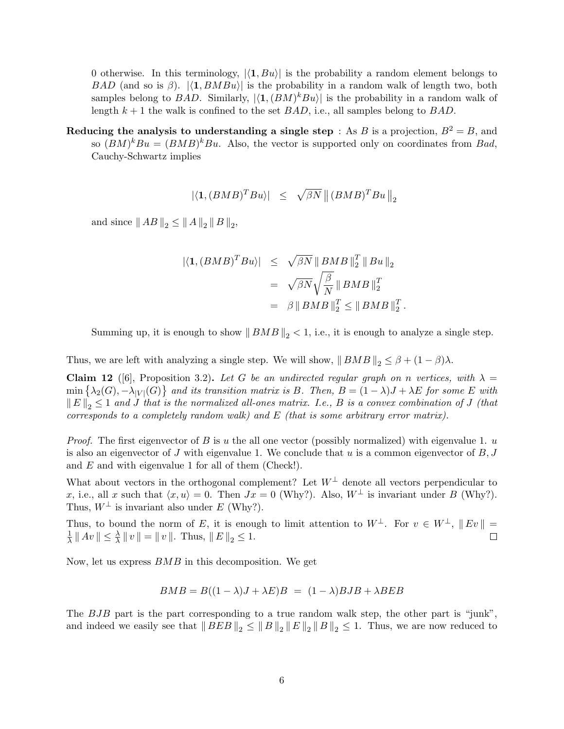0 otherwise. In this terminology,  $\langle 1, Bu \rangle$  is the probability a random element belongs to BAD (and so is  $\beta$ ).  $|\langle 1, BMBu \rangle|$  is the probability in a random walk of length two, both samples belong to BAD. Similarly,  $|\langle 1,(BM)^kBu \rangle|$  is the probability in a random walk of length  $k + 1$  the walk is confined to the set  $BAD$ , i.e., all samples belong to  $BAD$ .

Reducing the analysis to understanding a single step : As B is a projection,  $B^2 = B$ , and so  $(BM)^kBu = (BMB)^kBu$ . Also, the vector is supported only on coordinates from Bad, Cauchy-Schwartz implies

$$
|\langle \mathbf{1}, (BMB)^T B u \rangle| \leq \sqrt{\beta N} \| (BMB)^T B u \|_2
$$

and since  $||AB||_2 \le ||A||_2 ||B||_2$ ,

$$
\begin{array}{rcl} \left| \langle \mathbf{1}, (BMB)^T B u \rangle \right| & \leq & \sqrt{\beta N} \left\| BMB \right\|_2^T \left\| B u \right\|_2 \\ & = & \sqrt{\beta N} \sqrt{\frac{\beta}{N}} \left\| BMB \right\|_2^T \\ & = & \beta \left\| BMB \right\|_2^T \leq \left\| BMB \right\|_2^T. \end{array}
$$

Summing up, it is enough to show  $||BMB||_2 < 1$ , i.e., it is enough to analyze a single step.

Thus, we are left with analyzing a single step. We will show,  $||BMB||_2 \leq \beta + (1 - \beta)\lambda$ .

Claim 12 ([6], Proposition 3.2). Let G be an undirected regular graph on n vertices, with  $\lambda =$  $\min\left\{\lambda_2(G), -\lambda_{|V|}(G)\right\}$  and its transition matrix is B. Then,  $B = (1 - \lambda)J + \lambda E$  for some E with  $||E||_2 \leq 1$  and J that is the normalized all-ones matrix. I.e., B is a convex combination of J (that corresponds to a completely random walk) and  $E$  (that is some arbitrary error matrix).

*Proof.* The first eigenvector of B is u the all one vector (possibly normalized) with eigenvalue 1. u is also an eigenvector of J with eigenvalue 1. We conclude that u is a common eigenvector of  $B, J$ and E and with eigenvalue 1 for all of them (Check!).

What about vectors in the orthogonal complement? Let  $W^{\perp}$  denote all vectors perpendicular to x, i.e., all x such that  $\langle x, u \rangle = 0$ . Then  $Jx = 0$  (Why?). Also,  $W^{\perp}$  is invariant under B (Why?). Thus,  $W^{\perp}$  is invariant also under E (Why?).

Thus, to bound the norm of E, it is enough to limit attention to  $W^{\perp}$ . For  $v \in W^{\perp}$ ,  $||Ev|| =$  $\frac{1}{\lambda} || Av || \leq \frac{\lambda}{\lambda} || v || = || v ||$ . Thus,  $|| E ||_2 \leq 1$ . 1 П

Now, let us express BMB in this decomposition. We get

$$
BMB = B((1 - \lambda)J + \lambda E)B = (1 - \lambda)BJB + \lambda BEB
$$

The BJB part is the part corresponding to a true random walk step, the other part is "junk", and indeed we easily see that  $||BEB||_2 \le ||B||_2 ||E||_2 ||B||_2 \le 1$ . Thus, we are now reduced to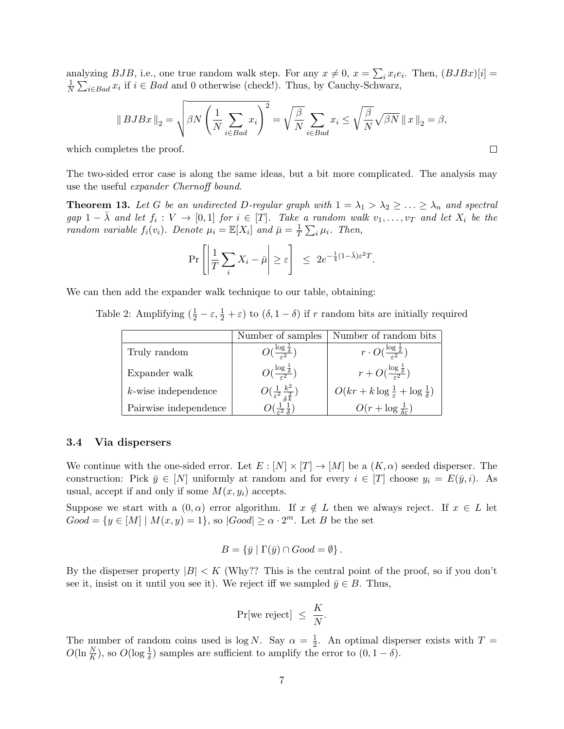analyzing  $BJB$ , i.e., one true random walk step. For any  $x \neq 0$ ,  $x = \sum_i x_i e_i$ . Then,  $(BJBx)[i] =$ 1  $\frac{1}{N} \sum_{i \in Bad} x_i$  if  $i \in Bad$  and 0 otherwise (check!). Thus, by Cauchy-Schwarz,

$$
\left\|\,BJBx\,\right\|_2 = \sqrt{\beta N \left(\frac{1}{N} \sum_{i \in Bad} x_i\right)^2} = \sqrt{\frac{\beta}{N}} \sum_{i \in Bad} x_i \le \sqrt{\frac{\beta}{N}} \sqrt{\beta N} \left\|\,x\,\right\|_2 = \beta,
$$

 $\Box$ 

which completes the proof.

The two-sided error case is along the same ideas, but a bit more complicated. The analysis may use the useful expander Chernoff bound.

**Theorem 13.** Let G be an undirected D-regular graph with  $1 = \lambda_1 > \lambda_2 \geq \ldots \geq \lambda_n$  and spectral gap  $1 - \overline{\lambda}$  and let  $f_i : V \to [0,1]$  for  $i \in [T]$ . Take a random walk  $v_1, \ldots, v_T$  and let  $X_i$  be the random variable  $f_i(v_i)$ . Denote  $\mu_i = \mathbb{E}[X_i]$  and  $\bar{\mu} = \frac{1}{l}$  $\frac{1}{T} \sum_i \mu_i$ . Then,

$$
\Pr\left[\left|\frac{1}{T}\sum_{i}X_{i}-\bar{\mu}\right|\geq \varepsilon\right] \leq 2e^{-\frac{1}{4}(1-\bar{\lambda})\varepsilon^{2}T}.
$$

We can then add the expander walk technique to our table, obtaining:

Table 2: Amplifying  $(\frac{1}{2} - \varepsilon, \frac{1}{2} + \varepsilon)$  to  $(\delta, 1 - \delta)$  if r random bits are initially required

|                        | Number of samples                                             | Number of random bits                                          |
|------------------------|---------------------------------------------------------------|----------------------------------------------------------------|
| Truly random           | $O(\frac{\log \frac{1}{\delta}}{\epsilon^2})$                 | $r \cdot O(\frac{\log \frac{1}{\delta}}{\epsilon^2})$          |
| Expander walk          | $O(\frac{\log \frac{1}{\delta}}{\epsilon^2})$                 | $r + O(\frac{\log \frac{1}{\delta}}{\epsilon^2})$              |
| $k$ -wise independence | $O(\frac{1}{\varepsilon^2} \frac{k^2}{\delta^{\frac{2}{k}}})$ | $O(kr + k \log \frac{1}{\varepsilon} + \log \frac{1}{\delta})$ |
| Pairwise independence  |                                                               | $O(r + \log \frac{1}{\delta \epsilon})$                        |

#### 3.4 Via dispersers

We continue with the one-sided error. Let  $E: [N] \times [T] \to [M]$  be a  $(K, \alpha)$  seeded disperser. The construction: Pick  $\bar{y} \in [N]$  uniformly at random and for every  $i \in [T]$  choose  $y_i = E(\bar{y}, i)$ . As usual, accept if and only if some  $M(x, y_i)$  accepts.

Suppose we start with a  $(0, \alpha)$  error algorithm. If  $x \notin L$  then we always reject. If  $x \in L$  let  $Good = \{y \in [M] \mid M(x, y) = 1\},$  so  $|Good| \ge \alpha \cdot 2^m$ . Let B be the set

$$
B = \{ \bar{y} \mid \Gamma(\bar{y}) \cap Good = \emptyset \}.
$$

By the disperser property  $|B| < K$  (Why?? This is the central point of the proof, so if you don't see it, insist on it until you see it). We reject iff we sampled  $\bar{y} \in B$ . Thus,

$$
\Pr[\text{we reject}] \ \leq \ \frac{K}{N}.
$$

The number of random coins used is  $log N$ . Say  $\alpha = \frac{1}{2}$  $\frac{1}{2}$ . An optimal disperser exists with  $T =$  $O(\ln \frac{N}{K})$ , so  $O(\log \frac{1}{\delta})$  samples are sufficient to amplify the error to  $(0, 1 - \delta)$ .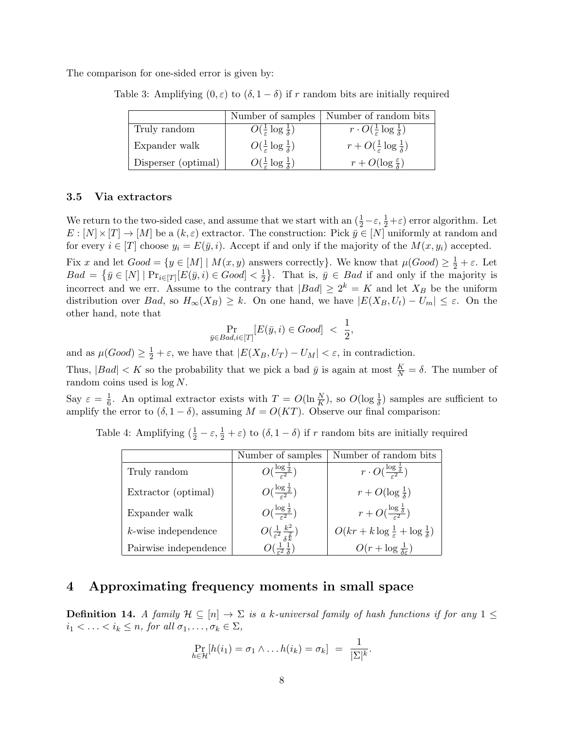The comparison for one-sided error is given by:

Table 3: Amplifying  $(0, \varepsilon)$  to  $(\delta, 1 - \delta)$  if r random bits are initially required

|                     | Number of samples                                | Number of random bits                                    |
|---------------------|--------------------------------------------------|----------------------------------------------------------|
| Truly random        | $O(\frac{1}{\varepsilon} \log \frac{1}{\delta})$ | $r \cdot O(\frac{1}{\varepsilon} \log \frac{1}{\delta})$ |
| Expander walk       | $O(\frac{1}{\varepsilon} \log \frac{1}{\delta})$ | $r + O(\frac{1}{\varepsilon} \log \frac{1}{\delta})$     |
| Disperser (optimal) | $O(\frac{1}{\varepsilon} \log \frac{1}{\delta})$ | $r + O(\log \frac{\varepsilon}{\delta})$                 |

#### 3.5 Via extractors

We return to the two-sided case, and assume that we start with an  $(\frac{1}{2} - \varepsilon, \frac{1}{2} + \varepsilon)$  error algorithm. Let  $E: [N] \times [T] \to [M]$  be a  $(k, \varepsilon)$  extractor. The construction: Pick  $\bar{y} \in [N]$  uniformly at random and for every  $i \in [T]$  choose  $y_i = E(\bar{y}, i)$ . Accept if and only if the majority of the  $M(x, y_i)$  accepted.

Fix x and let  $Good = \{y \in [M] \mid M(x, y)$  answers correctly}. We know that  $\mu(Good) \geq \frac{1}{2} + \varepsilon$ . Let  $Bad = \{ \bar{y} \in [N] \mid \Pr_{i \in [T]} [E(\bar{y}, i) \in Good] < \frac{1}{2} \}$  $\frac{1}{2}$ . That is,  $\bar{y} \in Bad$  if and only if the majority is incorrect and we err. Assume to the contrary that  $|Bad| \geq 2^k = K$  and let  $X_B$  be the uniform distribution over Bad, so  $H_{\infty}(X_B) \geq k$ . On one hand, we have  $|E(X_B, U_t) - U_m| \leq \varepsilon$ . On the other hand, note that

$$
\Pr_{\bar{y}\in Bad, i\in[T]}[E(\bar{y}, i) \in Good] < \frac{1}{2},
$$

and as  $\mu(Good) \geq \frac{1}{2} + \varepsilon$ , we have that  $|E(X_B, U_T) - U_M| < \varepsilon$ , in contradiction.

Thus,  $|Bad| < K$  so the probability that we pick a bad  $\bar{y}$  is again at most  $\frac{K}{N} = \delta$ . The number of random coins used is log N.

Say  $\varepsilon = \frac{1}{6}$  $\frac{1}{6}$ . An optimal extractor exists with  $T = O(\ln \frac{N}{K})$ , so  $O(\log \frac{1}{\delta})$  samples are sufficient to amplify the error to  $(\delta, 1 - \delta)$ , assuming  $M = O(KT)$ . Observe our final comparison:

Table 4: Amplifying  $(\frac{1}{2} - \varepsilon, \frac{1}{2} + \varepsilon)$  to  $(\delta, 1 - \delta)$  if r random bits are initially required

|                        | Number of samples                                             | Number of random bits                                          |
|------------------------|---------------------------------------------------------------|----------------------------------------------------------------|
| Truly random           | $O(\frac{\log \frac{1}{\delta}}{2})$                          | $r \cdot O(\frac{\log \frac{1}{\delta}}{\epsilon^2})$          |
| Extractor (optimal)    | $O(\frac{\log \frac{1}{\delta}}{\varepsilon^2})$              | $r + O(\log \frac{1}{\delta})$                                 |
| Expander walk          | $O(\frac{\log \frac{1}{\delta}}{\epsilon^2})$                 | $r + O(\frac{\log \frac{1}{\delta}}{\epsilon^2})$              |
| $k$ -wise independence | $O(\frac{1}{\varepsilon^2} \frac{k^2}{\delta^{\frac{2}{k}}})$ | $O(kr + k \log \frac{1}{\varepsilon} + \log \frac{1}{\delta})$ |
| Pairwise independence  |                                                               | $O(r + \log \frac{1}{\delta \epsilon})$                        |

## 4 Approximating frequency moments in small space

**Definition 14.** A family  $\mathcal{H} \subseteq [n] \to \Sigma$  is a k-universal family of hash functions if for any  $1 \leq$  $i_1 < \ldots < i_k \leq n$ , for all  $\sigma_1, \ldots, \sigma_k \in \Sigma$ ,

$$
\Pr_{h \in \mathcal{H}}[h(i_1) = \sigma_1 \wedge \ldots h(i_k) = \sigma_k] = \frac{1}{|\Sigma|^k}.
$$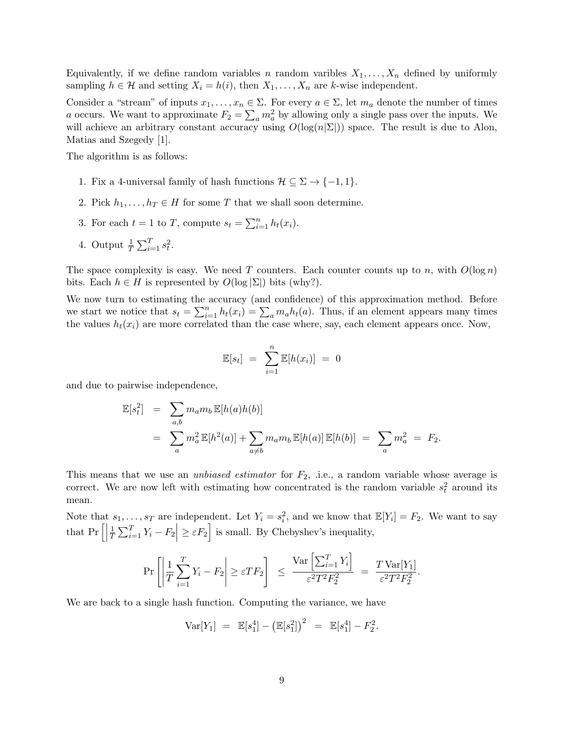Equivalently, if we define random variables n random varibles  $X_1, \ldots, X_n$  defined by uniformly sampling  $h \in \mathcal{H}$  and setting  $X_i = h(i)$ , then  $X_1, \ldots, X_n$  are k-wise independent.

Consider a "stream" of inputs  $x_1, \ldots, x_n \in \Sigma$ . For every  $a \in \Sigma$ , let  $m_a$  denote the number of times a occurs. We want to approximate  $F_2 = \sum_a m_a^2$  by allowing only a single pass over the inputs. We will achieve an arbitrary constant accuracy using  $O(\log(n|\Sigma|))$  space. The result is due to Alon, Matias and Szegedy [1].

The algorithm is as follows:

- 1. Fix a 4-universal family of hash functions  $\mathcal{H} \subseteq \Sigma \to \{-1, 1\}.$
- 2. Pick  $h_1, \ldots, h_T \in H$  for some T that we shall soon determine.
- 3. For each  $t = 1$  to T, compute  $s_t = \sum_{i=1}^n h_t(x_i)$ .
- 4. Output  $\frac{1}{T} \sum_{i=1}^{T} s_i^2$ .

The space complexity is easy. We need T counters. Each counter counts up to n, with  $O(\log n)$ bits. Each  $h \in H$  is represented by  $O(\log |\Sigma|)$  bits (why?).

We now turn to estimating the accuracy (and confidence) of this approximation method. Before we start we notice that  $s_t = \sum_{i=1}^n h_t(x_i) = \sum_a m_a h_t(a)$ . Thus, if an element appears many times the values  $h_t(x_i)$  are more correlated than the case where, say, each element appears once. Now,

$$
\mathbb{E}[s_t] = \sum_{i=1}^n \mathbb{E}[h(x_i)] = 0
$$

and due to pairwise independence,

$$
\mathbb{E}[s_t^2] = \sum_{a,b} m_a m_b \mathbb{E}[h(a)h(b)]
$$
  
= 
$$
\sum_a m_a^2 \mathbb{E}[h^2(a)] + \sum_{a \neq b} m_a m_b \mathbb{E}[h(a)] \mathbb{E}[h(b)] = \sum_a m_a^2 = F_2.
$$

This means that we use an *unbiased estimator* for  $F_2$ , i.e., a random variable whose average is correct. We are now left with estimating how concentrated is the random variable  $s_t^2$  around its mean.

Note that  $s_1, \ldots, s_T$  are independent. Let  $Y_i = s_i^2$ , and we know that  $\mathbb{E}[Y_i] = F_2$ . We want to say that  $Pr\left[\right]$ 1  $\frac{1}{T} \sum_{i=1}^{T} Y_i - F_2 \Big| \ge \varepsilon F_2 \Big]$  is small. By Chebyshev's inequality,

$$
\Pr\left[\left|\frac{1}{T}\sum_{i=1}^T Y_i - F_2\right| \ge \varepsilon T F_2\right] \le \frac{\text{Var}\left[\sum_{i=1}^T Y_i\right]}{\varepsilon^2 T^2 F_2^2} = \frac{T \text{Var}[Y_1]}{\varepsilon^2 T^2 F_2^2}.
$$

We are back to a single hash function. Computing the variance, we have

$$
Var[Y_1] = \mathbb{E}[s_1^4] - (\mathbb{E}[s_1^2])^2 = \mathbb{E}[s_1^4] - F_2^2.
$$